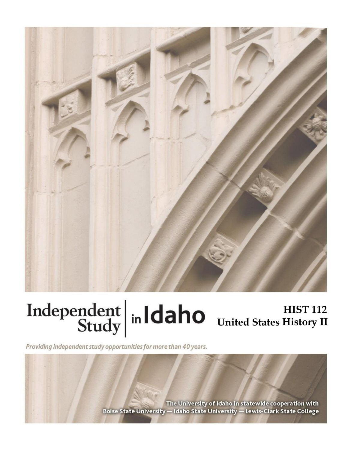

## **HIST 112 United States History II**

Providing independent study opportunities for more than 40 years.

The University of Idaho in statewide cooperation with Boise State University - Idaho State University - Lewis-Clark State College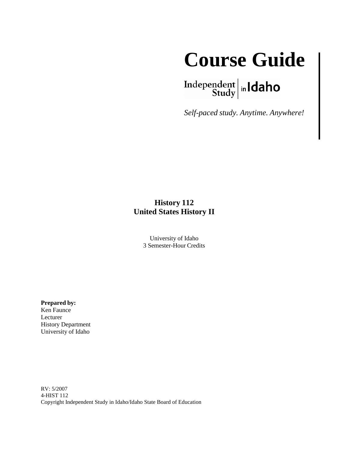

 $\left.\begin{array}{c|c} \textbf{Independent} & \textbf{h} \\ \textbf{Study} & \textbf{h} \end{array}\right.$ 

*Self-paced study. Anytime. Anywhere!*

### **History 112 United States History II**

University of Idaho 3 Semester-Hour Credits

**Prepared by:** 

Ken Faunce Lecturer History Department University of Idaho

RV: 5/2007 4-HIST 112 Copyright Independent Study in Idaho/Idaho State Board of Education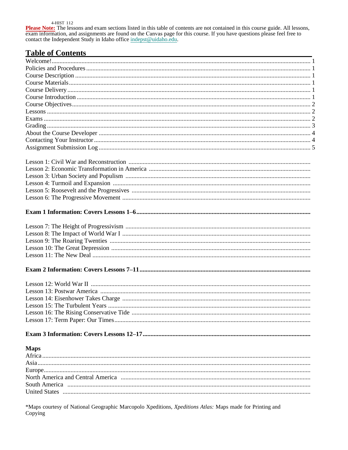#### 4-HIST 112

**Please Note:** The lessons and exam sections listed in this table of contents are not contained in this course guide. All lessons, exam information, and assignments are found on the Canvas page for this course. If you have

# Table of Contents

| <b>Maps</b> |  |
|-------------|--|
|             |  |
|             |  |
|             |  |
|             |  |
|             |  |
|             |  |
|             |  |

\*Maps courtesy of National Geographic Marcopolo Xpeditions, Xpeditions Atlas: Maps made for Printing and Copying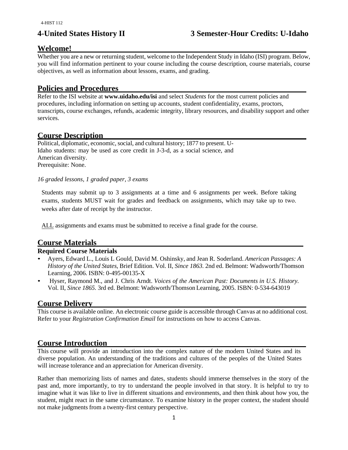#### **Welcome!**

Whether you are a new or returning student, welcome to the Independent Study in Idaho (ISI) program. Below, you will find information pertinent to your course including the course description, course materials, course objectives, as well as information about lessons, exams, and grading.

#### **Policies and Procedures**

Refer to the ISI website at **www.uidaho.edu/isi** and select *Students* for the most current policies and procedures, including information on setting up accounts, student confidentiality, exams, proctors, transcripts, course exchanges, refunds, academic integrity, library resources, and disability support and other services.

#### **Course Description**

Political, diplomatic, economic, social, and cultural history; 1877 to present. U-Idaho students: may be used as core credit in J-3-d, as a social science, and American diversity. Prerequisite: None.

#### *16 graded lessons, 1 graded paper, 3 exams*

Students may submit up to 3 assignments at a time and 6 assignments per week. Before taking exams, students MUST wait for grades and feedback on assignments, which may take up to two. weeks after date of receipt by the instructor.

ALL assignments and exams must be submitted to receive a final grade for the course.

#### **Course Materials**

#### **Required Course Materials**

- Ayers, Edward L., Louis L Gould, David M. Oshinsky, and Jean R. Soderland. *American Passages: A History of the United States,* Brief Edition. Vol. II, *Since 1863.* 2nd ed. Belmont: Wadsworth/Thomson Learning, 2006. ISBN: 0-495-00135-X
- Hyser, Raymond M., and J. Chris Arndt. *Voices of the American Past: Documents in U.S. History.* Vol. II, *Since 1865.* 3rd ed. Belmont: Wadsworth/Thomson Learning, 2005. ISBN: 0-534-643019

#### **Course Delivery**

This course is available online. An electronic course guide is accessible through Canvas at no additional cost. Refer to your *Registration Confirmation Email* for instructions on how to access Canvas.

#### **Course Introduction**

This course will provide an introduction into the complex nature of the modern United States and its diverse population. An understanding of the traditions and cultures of the peoples of the United States will increase tolerance and an appreciation for American diversity.

Rather than memorizing lists of names and dates, students should immerse themselves in the story of the past and, more importantly, to try to understand the people involved in that story. It is helpful to try to imagine what it was like to live in different situations and environments, and then think about how you, the student, might react in the same circumstance. To examine history in the proper context, the student should not make judgments from a twenty-first century perspective.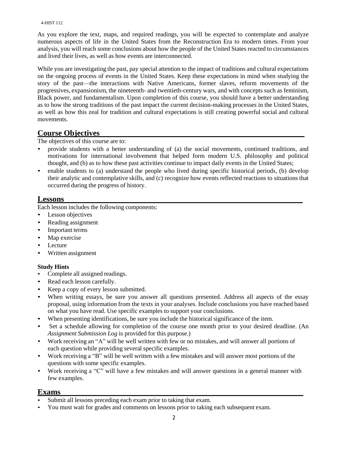#### 4-HIST 112

As you explore the text, maps, and required readings, you will be expected to contemplate and analyze numerous aspects of life in the United States from the Reconstruction Era to modern times. From your analysis, you will reach some conclusions about how the people of the United States reacted to circumstances and lived their lives, as well as how events are interconnected.

While you are investigating the past, pay special attention to the impact of traditions and cultural expectations on the ongoing process of events in the United States. Keep these expectations in mind when studying the story of the past—the interactions with Native Americans, former slaves, reform movements of the progressives, expansionism, the nineteenth- and twentieth-century wars, and with concepts such as feminism, Black power, and fundamentalism. Upon completion of this course, you should have a better understanding as to how the strong traditions of the past impact the current decision-making processes in the United States, as well as how this zeal for tradition and cultural expectations is still creating powerful social and cultural movements.

#### **Course Objectives**

The objectives of this course are to:

- provide students with a better understanding of (a) the social movements, continued traditions, and motivations for international involvement that helped form modern U.S. philosophy and political thought, and (b) as to how these past activities continue to impact daily events in the United States;
- enable students to (a) understand the people who lived during specific historical periods, (b) develop their analytic and contemplative skills, and (c) recognize how events reflected reactions to situations that occurred during the progress of history.

#### **Lessons**

Each lesson includes the following components:

- Lesson objectives
- Reading assignment
- Important terms
- Map exercise
- Lecture
- Written assignment

#### **Study Hints**

- Complete all assigned readings.
- Read each lesson carefully.
- Keep a copy of every lesson submitted.
- When writing essays, be sure you answer all questions presented. Address all aspects of the essay proposal, using information from the texts in your analyses. Include conclusions you have reached based on what you have read. Use specific examples to support your conclusions.
- When presenting identifications, be sure you include the historical significance of the item.
- Set a schedule allowing for completion of the course one month prior to your desired deadline. (An *Assignment Submission Log* is provided for this purpose.)
- Work receiving an "A" will be well written with few or no mistakes, and will answer all portions of each question while providing several specific examples.
- Work receiving a "B" will be well written with a few mistakes and will answer most portions of the questions with some specific examples.
- Work receiving a "C" will have a few mistakes and will answer questions in a general manner with few examples.

#### **Exams**

- Submit all lessons preceding each exam prior to taking that exam.
- You must wait for grades and comments on lessons prior to taking each subsequent exam.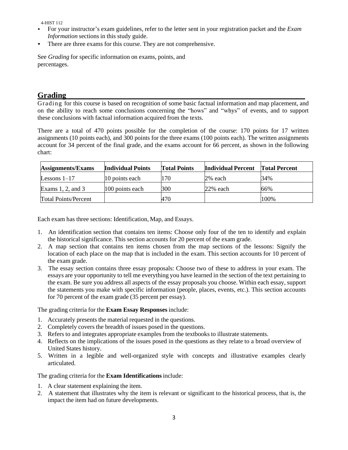4-HIST 112

- For your instructor's exam guidelines, refer to the letter sent in your registration packet and the *Exam Information* sections in this study guide.
- There are three exams for this course. They are not comprehensive.

See *Grading* for specific information on exams, points, and percentages.

#### **Grading**

Grading for this course is based on recognition of some basic factual information and map placement, and on the ability to reach some conclusions concerning the "hows" and "whys" of events, and to support these conclusions with factual information acquired from the texts.

There are a total of 470 points possible for the completion of the course: 170 points for 17 written assignments (10 points each), and 300 points for the three exams (100 points each). The written assignments account for 34 percent of the final grade, and the exams account for 66 percent, as shown in the following chart:

| <b>Assignments/Exams</b>    | <b>Individual Points</b> | <b>Total Points</b> | <b>Individual Percent</b> | <b>Total Percent</b> |
|-----------------------------|--------------------------|---------------------|---------------------------|----------------------|
| Lessons $1-17$              | 10 points each           | 170                 | $2\%$ each                | 34%                  |
| Exams $1, 2$ , and $3$      | $100$ points each        | 300                 | $22%$ each                | 66%                  |
| <b>Total Points/Percent</b> |                          | 470                 |                           | 100%                 |

Each exam has three sections: Identification, Map, and Essays.

- 1. An identification section that contains ten items: Choose only four of the ten to identify and explain the historical significance. This section accounts for 20 percent of the exam grade.
- 2. A map section that contains ten items chosen from the map sections of the lessons: Signify the location of each place on the map that is included in the exam. This section accounts for 10 percent of the exam grade.
- 3. The essay section contains three essay proposals: Choose two of these to address in your exam. The essays are your opportunity to tell me everything you have learned in the section of the text pertaining to the exam. Be sure you address all aspects of the essay proposals you choose. Within each essay, support the statements you make with specific information (people, places, events, etc.). This section accounts for 70 percent of the exam grade (35 percent per essay).

The grading criteria for the **Exam Essay Responses** include:

- 1. Accurately presents the material requested in the questions.
- 2. Completely covers the breadth of issues posed in the questions.
- 3. Refers to and integrates appropriate examples from the textbooks to illustrate statements.
- 4. Reflects on the implications of the issues posed in the questions as they relate to a broad overview of United States history.
- 5. Written in a legible and well-organized style with concepts and illustrative examples clearly articulated.

#### The grading criteria for the **Exam Identifications**include:

- 1. A clear statement explaining the item.
- 2. A statement that illustrates why the item is relevant or significant to the historical process, that is, the impact the item had on future developments.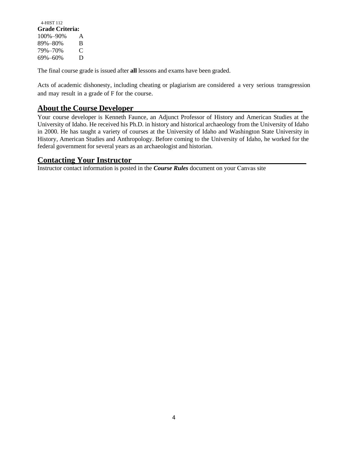| 4-HIST 112<br>Grade Criteria: |   |
|-------------------------------|---|
| $100\% - 90\%$                | A |
| 89%–80%                       | B |
| 79%-70%                       | € |
| 69%-60%                       | Ð |

The final course grade is issued after **all** lessons and exams have been graded.

Acts of academic dishonesty, including cheating or plagiarism are considered a very serious transgression and may result in a grade of F for the course.

#### **About the Course Developer**

Your course developer is Kenneth Faunce, an Adjunct Professor of History and American Studies at the University of Idaho. He received his Ph.D. in history and historical archaeology from the University of Idaho in 2000. He has taught a variety of courses at the University of Idaho and Washington State University in History, American Studies and Anthropology. Before coming to the University of Idaho, he worked for the federal government for several years as an archaeologist and historian.

#### **Contacting Your Instructor**

Instructor contact information is posted in the *Course Rules* document on your Canvas site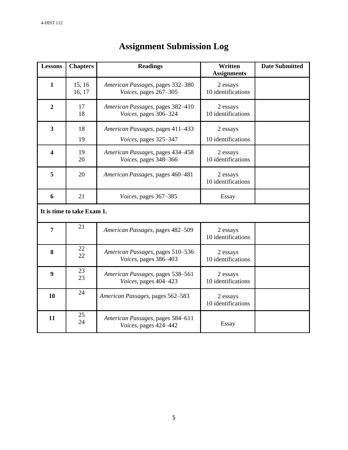| <b>Lessons</b>             | <b>Chapters</b>  | <b>Readings</b>                                           | Written<br><b>Assignments</b>  | <b>Date Submitted</b> |  |
|----------------------------|------------------|-----------------------------------------------------------|--------------------------------|-----------------------|--|
| 1                          | 15, 16<br>16, 17 | American Passages, pages 332-380<br>Voices, pages 267-305 | 2 essays<br>10 identifications |                       |  |
| $\overline{2}$             | 17<br>18         | American Passages, pages 382-410<br>Voices, pages 306-324 | 2 essays<br>10 identifications |                       |  |
| 3                          | 18<br>19         | American Passages, pages 411-433<br>Voices, pages 325-347 | 2 essays<br>10 identifications |                       |  |
| 4                          | 19<br>20         | American Passages, pages 434-458<br>Voices, pages 348-366 | 2 essays<br>10 identifications |                       |  |
| 5                          | 20               | American Passages, pages 460-481                          | 2 essays<br>10 identifications |                       |  |
| 6                          | 21               | Voices, pages 367-385                                     | <b>Essay</b>                   |                       |  |
| It is time to take Exam 1. |                  |                                                           |                                |                       |  |
| 7                          | 21               | American Passages, pages 482-509                          | 2 essays<br>10 identifications |                       |  |
| 8                          | 22<br>22         | American Passages, pages 510-536<br>Voices, pages 386-403 | 2 essays<br>10 identifications |                       |  |
| $\boldsymbol{9}$           | 23<br>23         | American Passages, pages 538-561<br>Voices, pages 404-423 | 2 essays<br>10 identifications |                       |  |
| 10                         | 24               | American Passages, pages 562-583                          | 2 essays<br>10 identifications |                       |  |
| 11                         | 25<br>24         | American Passages, pages 584-611<br>Voices, pages 424-442 | Essay                          |                       |  |

### **Assignment Submission Log**